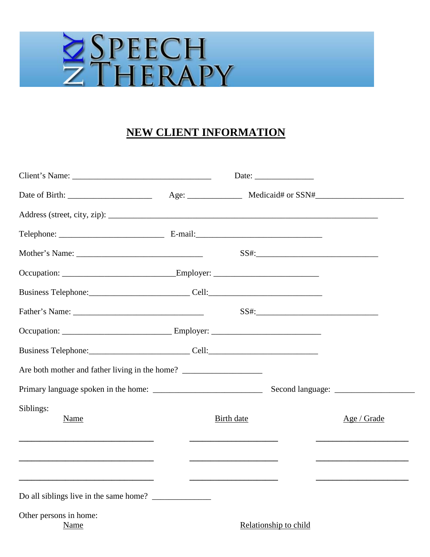# ZSPEECH

# **NEW CLIENT INFORMATION**

| Client's Name: Date: Date: Date:                                                  |            |                       |                                                                                                                                                                                                                                      |
|-----------------------------------------------------------------------------------|------------|-----------------------|--------------------------------------------------------------------------------------------------------------------------------------------------------------------------------------------------------------------------------------|
|                                                                                   |            |                       |                                                                                                                                                                                                                                      |
|                                                                                   |            |                       |                                                                                                                                                                                                                                      |
|                                                                                   |            |                       |                                                                                                                                                                                                                                      |
|                                                                                   |            |                       |                                                                                                                                                                                                                                      |
|                                                                                   |            |                       |                                                                                                                                                                                                                                      |
| Business Telephone: _________________________________Cell: ______________________ |            |                       |                                                                                                                                                                                                                                      |
|                                                                                   |            |                       |                                                                                                                                                                                                                                      |
|                                                                                   |            |                       |                                                                                                                                                                                                                                      |
| Business Telephone: Cell: Cell:                                                   |            |                       |                                                                                                                                                                                                                                      |
| Are both mother and father living in the home? __________________________________ |            |                       |                                                                                                                                                                                                                                      |
|                                                                                   |            |                       |                                                                                                                                                                                                                                      |
| Siblings:<br>Name                                                                 | Birth date |                       | Age / Grade                                                                                                                                                                                                                          |
|                                                                                   |            |                       | <u> 2008 - Johann Stoff, deutscher Stoffen und der Stoffen und der Stoffen und der Stoffen und der Stoffen und der Stoffen und der Stoffen und der Stoffen und der Stoffen und der Stoffen und der Stoffen und der Stoffen und d</u> |
| Other persons in home:<br>Name                                                    |            | Relationship to child |                                                                                                                                                                                                                                      |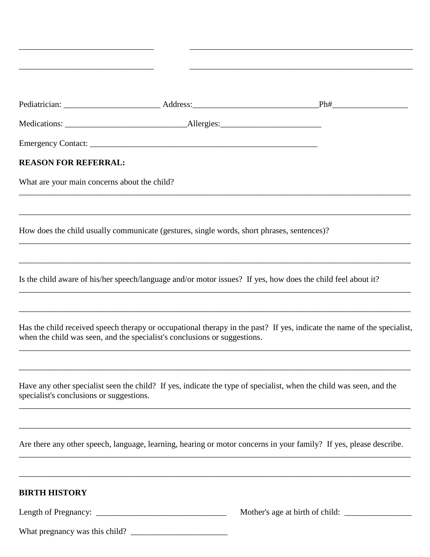| <b>REASON FOR REFERRAL:</b>                  |                                                                                            |                                                                                                                         |
|----------------------------------------------|--------------------------------------------------------------------------------------------|-------------------------------------------------------------------------------------------------------------------------|
| What are your main concerns about the child? |                                                                                            |                                                                                                                         |
|                                              |                                                                                            |                                                                                                                         |
|                                              | How does the child usually communicate (gestures, single words, short phrases, sentences)? |                                                                                                                         |
|                                              |                                                                                            | Is the child aware of his/her speech/language and/or motor issues? If yes, how does the child feel about it?            |
|                                              | when the child was seen, and the specialist's conclusions or suggestions.                  | Has the child received speech therapy or occupational therapy in the past? If yes, indicate the name of the specialist, |
| specialist's conclusions or suggestions.     |                                                                                            | Have any other specialist seen the child? If yes, indicate the type of specialist, when the child was seen, and the     |
|                                              |                                                                                            | Are there any other speech, language, learning, hearing or motor concerns in your family? If yes, please describe.      |
| <b>BIRTH HISTORY</b>                         |                                                                                            |                                                                                                                         |
|                                              |                                                                                            |                                                                                                                         |

\_\_\_\_\_\_\_\_\_\_\_\_\_\_\_\_\_\_\_\_\_\_\_\_\_\_\_\_\_\_\_\_ \_\_\_\_\_\_\_\_\_\_\_\_\_\_\_\_\_\_\_\_\_\_\_\_\_\_\_\_\_\_\_\_\_\_\_\_\_\_\_\_\_\_\_\_\_\_\_\_\_\_\_\_\_

What pregnancy was this child? \_\_\_\_\_\_\_\_\_\_\_\_\_\_\_\_\_\_\_\_\_\_\_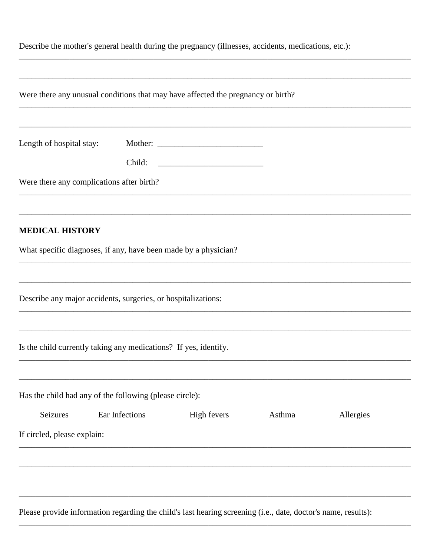| Describe the mother's general health during the pregnancy (illnesses, accidents, medications, etc.): |  |  |  |
|------------------------------------------------------------------------------------------------------|--|--|--|
|------------------------------------------------------------------------------------------------------|--|--|--|

|                             | Were there any unusual conditions that may have affected the pregnancy or birth?                              |             |        |           |
|-----------------------------|---------------------------------------------------------------------------------------------------------------|-------------|--------|-----------|
|                             |                                                                                                               |             |        |           |
| Length of hospital stay:    |                                                                                                               | Mother:     |        |           |
|                             | Child:                                                                                                        |             |        |           |
|                             | Were there any complications after birth?                                                                     |             |        |           |
|                             |                                                                                                               |             |        |           |
| <b>MEDICAL HISTORY</b>      |                                                                                                               |             |        |           |
|                             | What specific diagnoses, if any, have been made by a physician?                                               |             |        |           |
|                             |                                                                                                               |             |        |           |
|                             | Describe any major accidents, surgeries, or hospitalizations:                                                 |             |        |           |
|                             | Is the child currently taking any medications? If yes, identify.                                              |             |        |           |
|                             |                                                                                                               |             |        |           |
|                             | Has the child had any of the following (please circle):                                                       |             |        |           |
| Seizures                    | Ear Infections                                                                                                | High fevers | Asthma | Allergies |
| If circled, please explain: |                                                                                                               |             |        |           |
|                             |                                                                                                               |             |        |           |
|                             |                                                                                                               |             |        |           |
|                             | Please provide information regarding the child's last hearing screening (i.e., date, doctor's name, results): |             |        |           |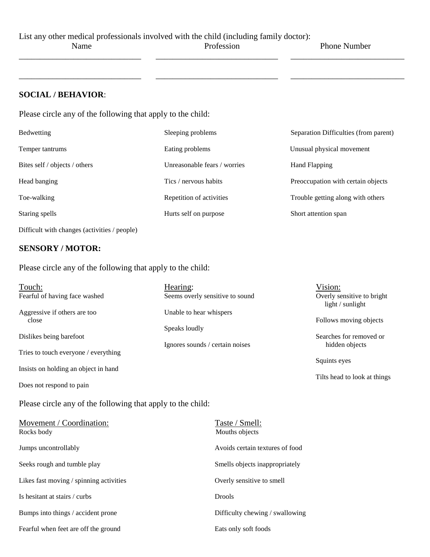List any other medical professionals involved with the child (including family doctor):

\_\_\_\_\_\_\_\_\_\_\_\_\_\_\_\_\_\_\_\_\_\_\_\_\_\_\_\_\_ \_\_\_\_\_\_\_\_\_\_\_\_\_\_\_\_\_\_\_\_\_\_\_\_\_\_\_\_\_ \_\_\_\_\_\_\_\_\_\_\_\_\_\_\_\_\_\_\_\_\_\_\_\_\_\_\_

\_\_\_\_\_\_\_\_\_\_\_\_\_\_\_\_\_\_\_\_\_\_\_\_\_\_\_\_\_ \_\_\_\_\_\_\_\_\_\_\_\_\_\_\_\_\_\_\_\_\_\_\_\_\_\_\_\_\_ \_\_\_\_\_\_\_\_\_\_\_\_\_\_\_\_\_\_\_\_\_\_\_\_\_\_\_

Name Profession Phone Number

### **SOCIAL / BEHAVIOR**:

Please circle any of the following that apply to the child:

| Bedwetting                                   | Sleeping problems            | Separation Difficulties (from parent) |
|----------------------------------------------|------------------------------|---------------------------------------|
| Temper tantrums                              | Eating problems              | Unusual physical movement             |
| Bites self / objects / others                | Unreasonable fears / worries | Hand Flapping                         |
| Head banging                                 | Tics / nervous habits        | Preoccupation with certain objects    |
| Toe-walking                                  | Repetition of activities     | Trouble getting along with others     |
| Staring spells                               | Hurts self on purpose        | Short attention span                  |
| Difficult with changes (activities / people) |                              |                                       |

### **SENSORY / MOTOR:**

Please circle any of the following that apply to the child:

| Touch:                               | Hearing:                        | Vision:                                        |
|--------------------------------------|---------------------------------|------------------------------------------------|
| Fearful of having face washed        | Seems overly sensitive to sound | Overly sensitive to bright<br>light / sunlight |
| Aggressive if others are too         | Unable to hear whispers         |                                                |
| close                                |                                 | Follows moving objects                         |
|                                      | Speaks loudly                   |                                                |
| Dislikes being barefoot              |                                 | Searches for removed or                        |
|                                      | Ignores sounds / certain noises | hidden objects                                 |
| Tries to touch everyone / everything |                                 |                                                |
|                                      |                                 | Squints eyes                                   |
| Insists on holding an object in hand |                                 |                                                |
|                                      |                                 | Tilts head to look at things                   |
| Does not respond to pain             |                                 |                                                |

Please circle any of the following that apply to the child:

| Movement / Coordination:<br>Rocks body  | Taste / Smell:<br>Mouths objects |
|-----------------------------------------|----------------------------------|
| Jumps uncontrollably                    | Avoids certain textures of food  |
| Seeks rough and tumble play             | Smells objects inappropriately   |
| Likes fast moving / spinning activities | Overly sensitive to smell        |
| Is hesitant at stairs / curbs           | <b>Drools</b>                    |
| Bumps into things / accident prone      | Difficulty chewing / swallowing  |
| Fearful when feet are off the ground    | Eats only soft foods             |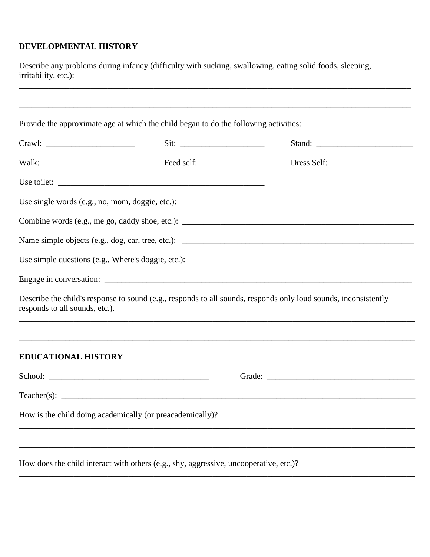## **DEVELOPMENTAL HISTORY**

Describe any problems during infancy (difficulty with sucking, swallowing, eating solid foods, sleeping, irritability, etc.):

|                                | Provide the approximate age at which the child began to do the following activities: |                                                                                                                                                                                                     |
|--------------------------------|--------------------------------------------------------------------------------------|-----------------------------------------------------------------------------------------------------------------------------------------------------------------------------------------------------|
|                                |                                                                                      |                                                                                                                                                                                                     |
|                                |                                                                                      | Dress Self:                                                                                                                                                                                         |
|                                |                                                                                      |                                                                                                                                                                                                     |
|                                |                                                                                      |                                                                                                                                                                                                     |
|                                |                                                                                      |                                                                                                                                                                                                     |
|                                |                                                                                      |                                                                                                                                                                                                     |
|                                |                                                                                      |                                                                                                                                                                                                     |
|                                |                                                                                      |                                                                                                                                                                                                     |
| responds to all sounds, etc.). |                                                                                      | Describe the child's response to sound (e.g., responds to all sounds, responds only loud sounds, inconsistently<br>,我们也不能在这里的时候,我们也不能在这里的时候,我们也不能会在这里,我们也不能会不能会不能会不能会不能会不能会不能会。""我们的是我们的,我们也不能会不能会不 |
|                                |                                                                                      |                                                                                                                                                                                                     |
| <b>EDUCATIONAL HISTORY</b>     |                                                                                      |                                                                                                                                                                                                     |
|                                |                                                                                      |                                                                                                                                                                                                     |
|                                |                                                                                      |                                                                                                                                                                                                     |
| $Teacher(s)$ :                 | How is the child doing academically (or preacademically)?                            |                                                                                                                                                                                                     |

\_\_\_\_\_\_\_\_\_\_\_\_\_\_\_\_\_\_\_\_\_\_\_\_\_\_\_\_\_\_\_\_\_\_\_\_\_\_\_\_\_\_\_\_\_\_\_\_\_\_\_\_\_\_\_\_\_\_\_\_\_\_\_\_\_\_\_\_\_\_\_\_\_\_\_\_\_\_\_\_\_\_\_\_\_\_\_\_\_\_\_\_\_\_